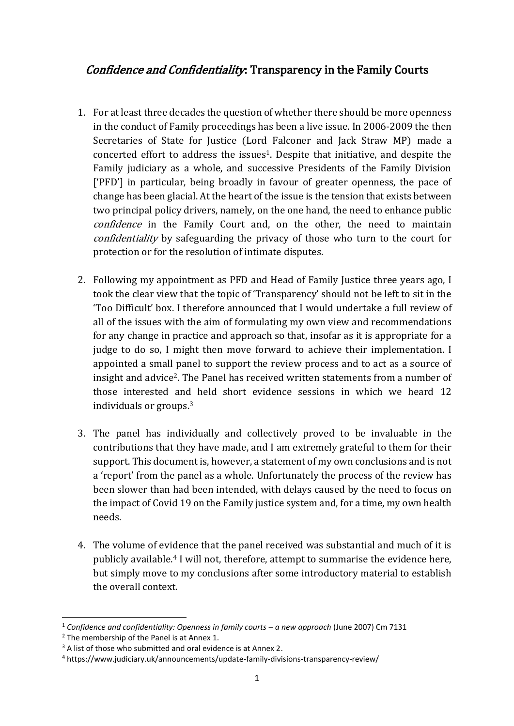# Confidence and Confidentiality: Transparency in the Family Courts

- 1. For at least three decades the question of whether there should be more openness in the conduct of Family proceedings has been a live issue. In 2006-2009 the then Secretaries of State for Justice (Lord Falconer and Jack Straw MP) made a concerted effort to address the issues<sup>1</sup>. Despite that initiative, and despite the Family judiciary as a whole, and successive Presidents of the Family Division ['PFD'] in particular, being broadly in favour of greater openness, the pace of change has been glacial. At the heart of the issue is the tension that exists between two principal policy drivers, namely, on the one hand, the need to enhance public confidence in the Family Court and, on the other, the need to maintain confidentiality by safeguarding the privacy of those who turn to the court for protection or for the resolution of intimate disputes.
- 2. Following my appointment as PFD and Head of Family Justice three years ago, I took the clear view that the topic of 'Transparency' should not be left to sit in the 'Too Difficult' box. I therefore announced that I would undertake a full review of all of the issues with the aim of formulating my own view and recommendations for any change in practice and approach so that, insofar as it is appropriate for a judge to do so, I might then move forward to achieve their implementation. I appointed a small panel to support the review process and to act as a source of insight and advice2. The Panel has received written statements from a number of those interested and held short evidence sessions in which we heard 12 individuals or groups.<sup>3</sup>
- 3. The panel has individually and collectively proved to be invaluable in the contributions that they have made, and I am extremely grateful to them for their support. This document is, however, a statement of my own conclusions and is not a 'report' from the panel as a whole. Unfortunately the process of the review has been slower than had been intended, with delays caused by the need to focus on the impact of Covid 19 on the Family justice system and, for a time, my own health needs.
- 4. The volume of evidence that the panel received was substantial and much of it is publicly available.<sup>4</sup> I will not, therefore, attempt to summarise the evidence here, but simply move to my conclusions after some introductory material to establish the overall context.

<sup>&</sup>lt;sup>1</sup> Confidence and confidentiality: Openness in family courts – a new approach (June 2007) Cm 7131

<sup>&</sup>lt;sup>2</sup> The membership of the Panel is at Annex 1.

 $3$  A list of those who submitted and oral evidence is at Annex 2.

<sup>4</sup> https://www.judiciary.uk/announcements/update-family-divisions-transparency-review/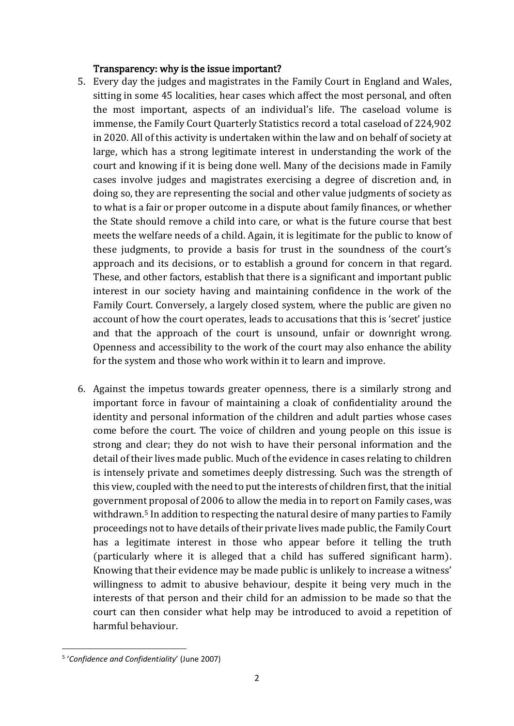#### Transparency: why is the issue important?

- 5. Every day the judges and magistrates in the Family Court in England and Wales, sitting in some 45 localities, hear cases which affect the most personal, and often the most important, aspects of an individual's life. The caseload volume is immense, the Family Court Quarterly Statistics record a total caseload of 224,902 in 2020. All of this activity is undertaken within the law and on behalf of society at large, which has a strong legitimate interest in understanding the work of the court and knowing if it is being done well. Many of the decisions made in Family cases involve judges and magistrates exercising a degree of discretion and, in doing so, they are representing the social and other value judgments of society as to what is a fair or proper outcome in a dispute about family finances, or whether the State should remove a child into care, or what is the future course that best meets the welfare needs of a child. Again, it is legitimate for the public to know of these judgments, to provide a basis for trust in the soundness of the court's approach and its decisions, or to establish a ground for concern in that regard. These, and other factors, establish that there is a significant and important public interest in our society having and maintaining confidence in the work of the Family Court. Conversely, a largely closed system, where the public are given no account of how the court operates, leads to accusations that this is 'secret' justice and that the approach of the court is unsound, unfair or downright wrong. Openness and accessibility to the work of the court may also enhance the ability for the system and those who work within it to learn and improve.
- 6. Against the impetus towards greater openness, there is a similarly strong and important force in favour of maintaining a cloak of confidentiality around the identity and personal information of the children and adult parties whose cases come before the court. The voice of children and young people on this issue is strong and clear; they do not wish to have their personal information and the detail of their lives made public. Much of the evidence in cases relating to children is intensely private and sometimes deeply distressing. Such was the strength of this view, coupled with the need to put the interests of children first, that the initial government proposal of 2006 to allow the media in to report on Family cases, was withdrawn.<sup>5</sup> In addition to respecting the natural desire of many parties to Family proceedings not to have details of their private lives made public, the Family Court has a legitimate interest in those who appear before it telling the truth (particularly where it is alleged that a child has suffered significant harm). Knowing that their evidence may be made public is unlikely to increase a witness' willingness to admit to abusive behaviour, despite it being very much in the interests of that person and their child for an admission to be made so that the court can then consider what help may be introduced to avoid a repetition of harmful behaviour.

<sup>5</sup> '*Confidence and Confidentiality*' (June 2007)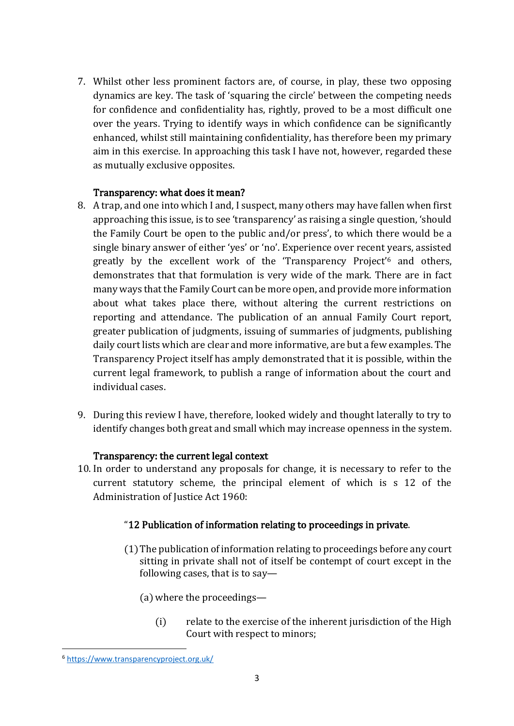7. Whilst other less prominent factors are, of course, in play, these two opposing dynamics are key. The task of 'squaring the circle' between the competing needs for confidence and confidentiality has, rightly, proved to be a most difficult one over the years. Trying to identify ways in which confidence can be significantly enhanced, whilst still maintaining confidentiality, has therefore been my primary aim in this exercise. In approaching this task I have not, however, regarded these as mutually exclusive opposites.

## Transparency: what does it mean?

- 8. A trap, and one into which I and, I suspect, many others may have fallen when first approaching this issue, is to see 'transparency' as raising a single question, 'should the Family Court be open to the public and/or press', to which there would be a single binary answer of either 'yes' or 'no'. Experience over recent years, assisted greatly by the excellent work of the 'Transparency Project'<sup>6</sup> and others, demonstrates that that formulation is very wide of the mark. There are in fact many ways that the Family Court can be more open, and provide more information about what takes place there, without altering the current restrictions on reporting and attendance. The publication of an annual Family Court report, greater publication of judgments, issuing of summaries of judgments, publishing daily court lists which are clear and more informative, are but a few examples. The Transparency Project itself has amply demonstrated that it is possible, within the current legal framework, to publish a range of information about the court and individual cases.
- 9. During this review I have, therefore, looked widely and thought laterally to try to identify changes both great and small which may increase openness in the system.

## Transparency: the current legal context

10. In order to understand any proposals for change, it is necessary to refer to the current statutory scheme, the principal element of which is s 12 of the Administration of Justice Act 1960:

## "12 Publication of information relating to proceedings in private.

- (1)The publication of information relating to proceedings before any court sitting in private shall not of itself be contempt of court except in the following cases, that is to say—
	- (a) where the proceedings—
		- (i) relate to the exercise of the inherent jurisdiction of the High Court with respect to minors;

<sup>6</sup> <https://www.transparencyproject.org.uk/>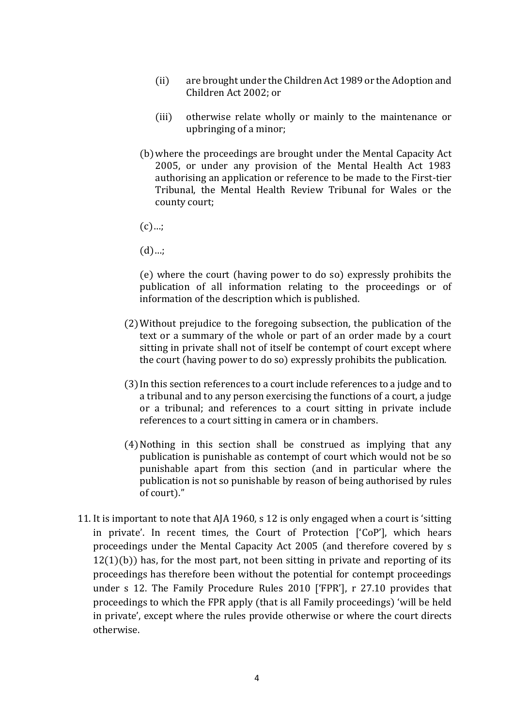- (ii) are brought under the Children Act 1989 or the Adoption and Children Act 2002; or
- (iii) otherwise relate wholly or mainly to the maintenance or upbringing of a minor;
- (b)where the proceedings are brought under the Mental Capacity Act 2005, or under any provision of the Mental Health Act 1983 authorising an application or reference to be made to the First-tier Tribunal, the Mental Health Review Tribunal for Wales or the county court;
- $(c)...;$
- $(d)$ …;

(e) where the court (having power to do so) expressly prohibits the publication of all information relating to the proceedings or of information of the description which is published.

- (2)Without prejudice to the foregoing subsection, the publication of the text or a summary of the whole or part of an order made by a court sitting in private shall not of itself be contempt of court except where the court (having power to do so) expressly prohibits the publication.
- (3) In this section references to a court include references to a judge and to a tribunal and to any person exercising the functions of a court, a judge or a tribunal; and references to a court sitting in private include references to a court sitting in camera or in chambers.
- (4)Nothing in this section shall be construed as implying that any publication is punishable as contempt of court which would not be so punishable apart from this section (and in particular where the publication is not so punishable by reason of being authorised by rules of court)."
- 11. It is important to note that AJA 1960, s 12 is only engaged when a court is 'sitting in private'. In recent times, the Court of Protection ['CoP'], which hears proceedings under the Mental Capacity Act 2005 (and therefore covered by s  $12(1)(b)$ ) has, for the most part, not been sitting in private and reporting of its proceedings has therefore been without the potential for contempt proceedings under s 12. The Family Procedure Rules 2010 ['FPR'], r 27.10 provides that proceedings to which the FPR apply (that is all Family proceedings) 'will be held in private', except where the rules provide otherwise or where the court directs otherwise.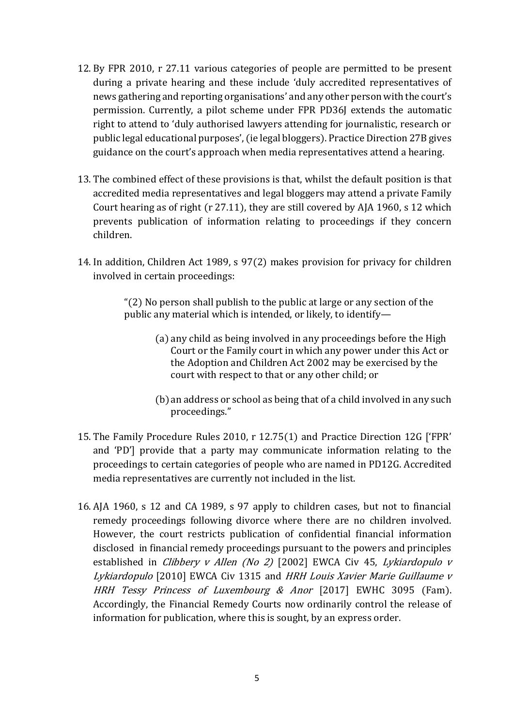- 12. By FPR 2010, r 27.11 various categories of people are permitted to be present during a private hearing and these include 'duly accredited representatives of news gathering and reporting organisations' and any other person with the court's permission. Currently, a pilot scheme under FPR PD36J extends the automatic right to attend to 'duly authorised lawyers attending for journalistic, research or public legal educational purposes', (ie legal bloggers). Practice Direction 27B gives guidance on the court's approach when media representatives attend a hearing.
- 13. The combined effect of these provisions is that, whilst the default position is that accredited media representatives and legal bloggers may attend a private Family Court hearing as of right (r 27.11), they are still covered by AJA 1960, s 12 which prevents publication of information relating to proceedings if they concern children.
- 14. In addition, Children Act 1989, s 97(2) makes provision for privacy for children involved in certain proceedings:

"(2) No person shall publish to the public at large or any section of the public any material which is intended, or likely, to identify—

- (a) any child as being involved in any proceedings before the High Court or the Family court in which any power under this Act or the Adoption and Children Act 2002 may be exercised by the court with respect to that or any other child; or
- (b)an address or school as being that of a child involved in any such proceedings."
- 15. The Family Procedure Rules 2010, r 12.75(1) and Practice Direction 12G ['FPR' and 'PD'] provide that a party may communicate information relating to the proceedings to certain categories of people who are named in PD12G. Accredited media representatives are currently not included in the list.
- 16. AJA 1960, s 12 and CA 1989, s 97 apply to children cases, but not to financial remedy proceedings following divorce where there are no children involved. However, the court restricts publication of confidential financial information disclosed in financial remedy proceedings pursuant to the powers and principles established in *Clibbery v Allen (No 2)* [2002] EWCA Civ 45, *Lykiardopulo v* Lykiardopulo [2010] EWCA Civ 1315 and HRH Louis Xavier Marie Guillaume v HRH Tessy Princess of Luxembourg & Anor [2017] EWHC 3095 (Fam). Accordingly, the Financial Remedy Courts now ordinarily control the release of information for publication, where this is sought, by an express order.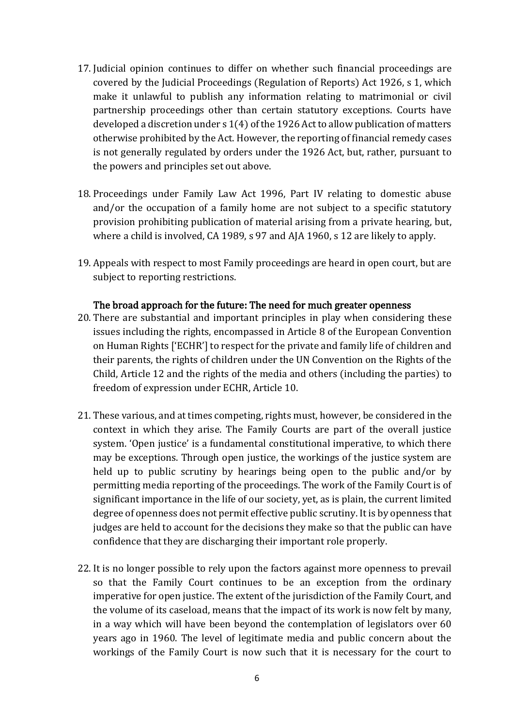- 17. Judicial opinion continues to differ on whether such financial proceedings are covered by the Judicial Proceedings (Regulation of Reports) Act 1926, s 1, which make it unlawful to publish any information relating to matrimonial or civil partnership proceedings other than certain statutory exceptions. Courts have developed a discretion under s 1(4) of the 1926 Act to allow publication of matters otherwise prohibited by the Act. However, the reporting of financial remedy cases is not generally regulated by orders under the 1926 Act, but, rather, pursuant to the powers and principles set out above.
- 18. Proceedings under Family Law Act 1996, Part IV relating to domestic abuse and/or the occupation of a family home are not subject to a specific statutory provision prohibiting publication of material arising from a private hearing, but, where a child is involved, CA 1989, s 97 and AJA 1960, s 12 are likely to apply.
- 19. Appeals with respect to most Family proceedings are heard in open court, but are subject to reporting restrictions.

#### The broad approach for the future: The need for much greater openness

- 20. There are substantial and important principles in play when considering these issues including the rights, encompassed in Article 8 of the European Convention on Human Rights ['ECHR'] to respect for the private and family life of children and their parents, the rights of children under the UN Convention on the Rights of the Child, Article 12 and the rights of the media and others (including the parties) to freedom of expression under ECHR, Article 10.
- 21. These various, and at times competing, rights must, however, be considered in the context in which they arise. The Family Courts are part of the overall justice system. 'Open justice' is a fundamental constitutional imperative, to which there may be exceptions. Through open justice, the workings of the justice system are held up to public scrutiny by hearings being open to the public and/or by permitting media reporting of the proceedings. The work of the Family Court is of significant importance in the life of our society, yet, as is plain, the current limited degree of openness does not permit effective public scrutiny. It is by openness that judges are held to account for the decisions they make so that the public can have confidence that they are discharging their important role properly.
- 22. It is no longer possible to rely upon the factors against more openness to prevail so that the Family Court continues to be an exception from the ordinary imperative for open justice. The extent of the jurisdiction of the Family Court, and the volume of its caseload, means that the impact of its work is now felt by many, in a way which will have been beyond the contemplation of legislators over 60 years ago in 1960. The level of legitimate media and public concern about the workings of the Family Court is now such that it is necessary for the court to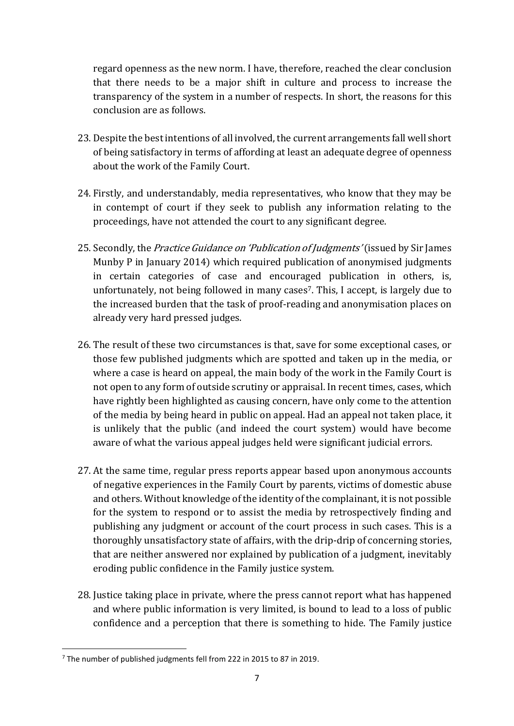regard openness as the new norm. I have, therefore, reached the clear conclusion that there needs to be a major shift in culture and process to increase the transparency of the system in a number of respects. In short, the reasons for this conclusion are as follows.

- 23. Despite the best intentions of all involved, the current arrangements fall well short of being satisfactory in terms of affording at least an adequate degree of openness about the work of the Family Court.
- 24. Firstly, and understandably, media representatives, who know that they may be in contempt of court if they seek to publish any information relating to the proceedings, have not attended the court to any significant degree.
- 25. Secondly, the *Practice Guidance on 'Publication of Judgments'* (issued by Sir James Munby P in January 2014) which required publication of anonymised judgments in certain categories of case and encouraged publication in others, is, unfortunately, not being followed in many cases<sup>7</sup>. This, I accept, is largely due to the increased burden that the task of proof-reading and anonymisation places on already very hard pressed judges.
- 26. The result of these two circumstances is that, save for some exceptional cases, or those few published judgments which are spotted and taken up in the media, or where a case is heard on appeal, the main body of the work in the Family Court is not open to any form of outside scrutiny or appraisal. In recent times, cases, which have rightly been highlighted as causing concern, have only come to the attention of the media by being heard in public on appeal. Had an appeal not taken place, it is unlikely that the public (and indeed the court system) would have become aware of what the various appeal judges held were significant judicial errors.
- 27. At the same time, regular press reports appear based upon anonymous accounts of negative experiences in the Family Court by parents, victims of domestic abuse and others. Without knowledge of the identity of the complainant, it is not possible for the system to respond or to assist the media by retrospectively finding and publishing any judgment or account of the court process in such cases. This is a thoroughly unsatisfactory state of affairs, with the drip-drip of concerning stories, that are neither answered nor explained by publication of a judgment, inevitably eroding public confidence in the Family justice system.
- 28. Justice taking place in private, where the press cannot report what has happened and where public information is very limited, is bound to lead to a loss of public confidence and a perception that there is something to hide. The Family justice

<sup>7</sup> The number of published judgments fell from 222 in 2015 to 87 in 2019.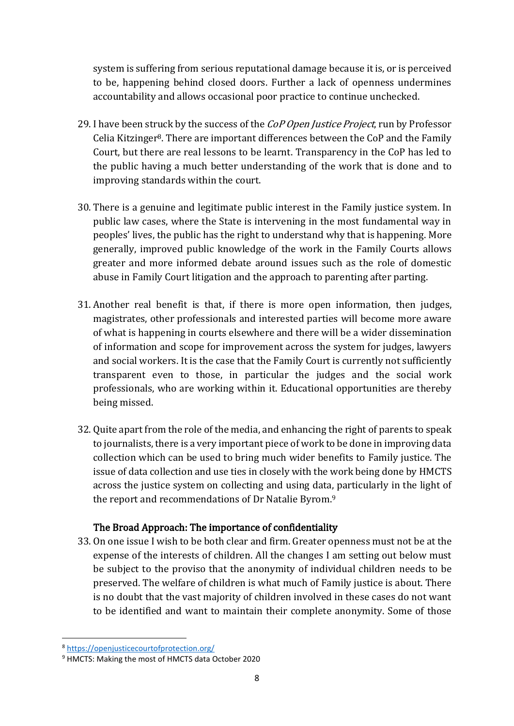system is suffering from serious reputational damage because it is, or is perceived to be, happening behind closed doors. Further a lack of openness undermines accountability and allows occasional poor practice to continue unchecked.

- 29. I have been struck by the success of the *CoP Open Justice Project*, run by Professor Celia Kitzinger<sup>8</sup>. There are important differences between the CoP and the Family Court, but there are real lessons to be learnt. Transparency in the CoP has led to the public having a much better understanding of the work that is done and to improving standards within the court.
- 30. There is a genuine and legitimate public interest in the Family justice system. In public law cases, where the State is intervening in the most fundamental way in peoples' lives, the public has the right to understand why that is happening. More generally, improved public knowledge of the work in the Family Courts allows greater and more informed debate around issues such as the role of domestic abuse in Family Court litigation and the approach to parenting after parting.
- 31. Another real benefit is that, if there is more open information, then judges, magistrates, other professionals and interested parties will become more aware of what is happening in courts elsewhere and there will be a wider dissemination of information and scope for improvement across the system for judges, lawyers and social workers. It is the case that the Family Court is currently not sufficiently transparent even to those, in particular the judges and the social work professionals, who are working within it. Educational opportunities are thereby being missed.
- 32. Quite apart from the role of the media, and enhancing the right of parents to speak to journalists, there is a very important piece of work to be done in improving data collection which can be used to bring much wider benefits to Family justice. The issue of data collection and use ties in closely with the work being done by HMCTS across the justice system on collecting and using data, particularly in the light of the report and recommendations of Dr Natalie Byrom.<sup>9</sup>

## The Broad Approach: The importance of confidentiality

33. On one issue I wish to be both clear and firm. Greater openness must not be at the expense of the interests of children. All the changes I am setting out below must be subject to the proviso that the anonymity of individual children needs to be preserved. The welfare of children is what much of Family justice is about. There is no doubt that the vast majority of children involved in these cases do not want to be identified and want to maintain their complete anonymity. Some of those

<sup>8</sup> <https://openjusticecourtofprotection.org/>

<sup>9</sup> HMCTS: Making the most of HMCTS data October 2020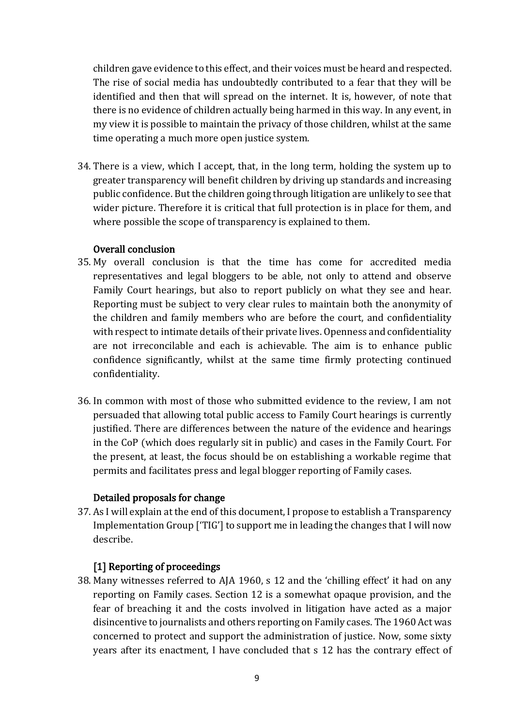children gave evidence to this effect, and their voices must be heard and respected. The rise of social media has undoubtedly contributed to a fear that they will be identified and then that will spread on the internet. It is, however, of note that there is no evidence of children actually being harmed in this way. In any event, in my view it is possible to maintain the privacy of those children, whilst at the same time operating a much more open justice system.

34. There is a view, which I accept, that, in the long term, holding the system up to greater transparency will benefit children by driving up standards and increasing public confidence. But the children going through litigation are unlikely to see that wider picture. Therefore it is critical that full protection is in place for them, and where possible the scope of transparency is explained to them.

#### Overall conclusion

- 35. My overall conclusion is that the time has come for accredited media representatives and legal bloggers to be able, not only to attend and observe Family Court hearings, but also to report publicly on what they see and hear. Reporting must be subject to very clear rules to maintain both the anonymity of the children and family members who are before the court, and confidentiality with respect to intimate details of their private lives. Openness and confidentiality are not irreconcilable and each is achievable. The aim is to enhance public confidence significantly, whilst at the same time firmly protecting continued confidentiality.
- 36. In common with most of those who submitted evidence to the review, I am not persuaded that allowing total public access to Family Court hearings is currently justified. There are differences between the nature of the evidence and hearings in the CoP (which does regularly sit in public) and cases in the Family Court. For the present, at least, the focus should be on establishing a workable regime that permits and facilitates press and legal blogger reporting of Family cases.

#### Detailed proposals for change

37. As I will explain at the end of this document, I propose to establish a Transparency Implementation Group ['TIG'] to support me in leading the changes that I will now describe.

#### [1] Reporting of proceedings

38. Many witnesses referred to AJA 1960, s 12 and the 'chilling effect' it had on any reporting on Family cases. Section 12 is a somewhat opaque provision, and the fear of breaching it and the costs involved in litigation have acted as a major disincentive to journalists and others reporting on Family cases. The 1960 Act was concerned to protect and support the administration of justice. Now, some sixty years after its enactment, I have concluded that s 12 has the contrary effect of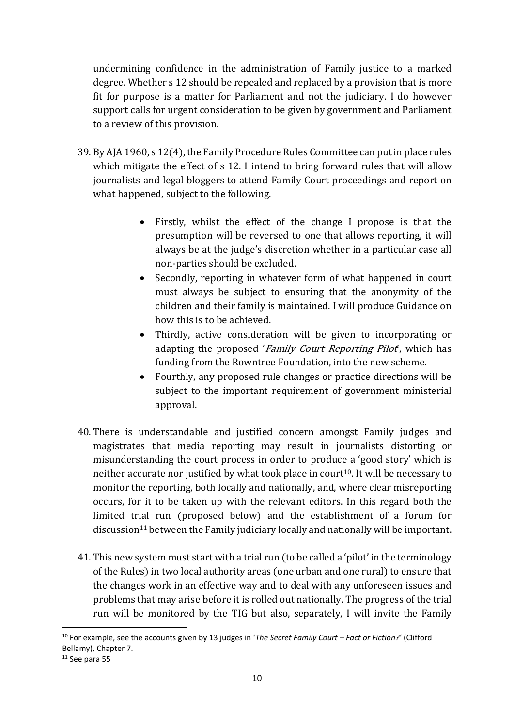undermining confidence in the administration of Family justice to a marked degree. Whether s 12 should be repealed and replaced by a provision that is more fit for purpose is a matter for Parliament and not the judiciary. I do however support calls for urgent consideration to be given by government and Parliament to a review of this provision.

- 39. By AJA 1960, s 12(4), the Family Procedure Rules Committee can put in place rules which mitigate the effect of s 12. I intend to bring forward rules that will allow journalists and legal bloggers to attend Family Court proceedings and report on what happened, subject to the following.
	- Firstly, whilst the effect of the change I propose is that the presumption will be reversed to one that allows reporting, it will always be at the judge's discretion whether in a particular case all non-parties should be excluded.
	- Secondly, reporting in whatever form of what happened in court must always be subject to ensuring that the anonymity of the children and their family is maintained. I will produce Guidance on how this is to be achieved.
	- Thirdly, active consideration will be given to incorporating or adapting the proposed 'Family Court Reporting Pilot', which has funding from the Rowntree Foundation, into the new scheme.
	- Fourthly, any proposed rule changes or practice directions will be subject to the important requirement of government ministerial approval.
- 40. There is understandable and justified concern amongst Family judges and magistrates that media reporting may result in journalists distorting or misunderstanding the court process in order to produce a 'good story' which is neither accurate nor justified by what took place in court<sup>10</sup>. It will be necessary to monitor the reporting, both locally and nationally, and, where clear misreporting occurs, for it to be taken up with the relevant editors. In this regard both the limited trial run (proposed below) and the establishment of a forum for discussion<sup>11</sup> between the Family judiciary locally and nationally will be important.
- 41. This new system must start with a trial run (to be called a 'pilot' in the terminology of the Rules) in two local authority areas (one urban and one rural) to ensure that the changes work in an effective way and to deal with any unforeseen issues and problems that may arise before it is rolled out nationally. The progress of the trial run will be monitored by the TIG but also, separately, I will invite the Family

<sup>10</sup> For example, see the accounts given by 13 judges in '*The Secret Family Court – Fact or Fiction?'* (Clifford Bellamy), Chapter 7.

 $11$  See para 55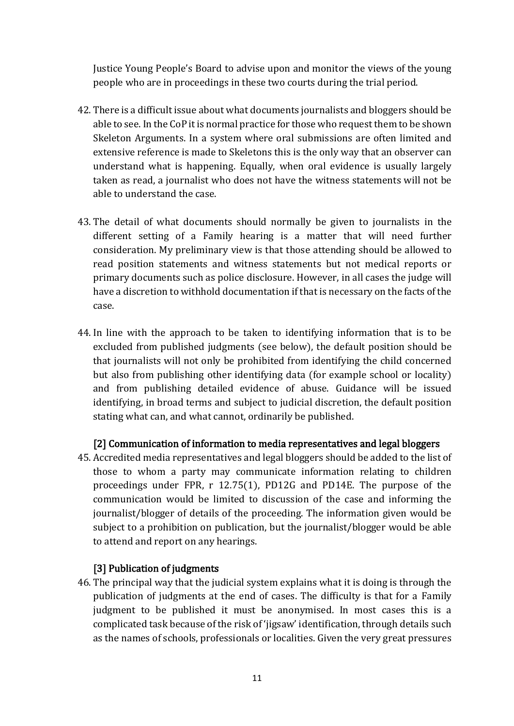Justice Young People's Board to advise upon and monitor the views of the young people who are in proceedings in these two courts during the trial period.

- 42. There is a difficult issue about what documents journalists and bloggers should be able to see. In the CoP it is normal practice for those who request them to be shown Skeleton Arguments. In a system where oral submissions are often limited and extensive reference is made to Skeletons this is the only way that an observer can understand what is happening. Equally, when oral evidence is usually largely taken as read, a journalist who does not have the witness statements will not be able to understand the case.
- 43. The detail of what documents should normally be given to journalists in the different setting of a Family hearing is a matter that will need further consideration. My preliminary view is that those attending should be allowed to read position statements and witness statements but not medical reports or primary documents such as police disclosure. However, in all cases the judge will have a discretion to withhold documentation if that is necessary on the facts of the case.
- 44. In line with the approach to be taken to identifying information that is to be excluded from published judgments (see below), the default position should be that journalists will not only be prohibited from identifying the child concerned but also from publishing other identifying data (for example school or locality) and from publishing detailed evidence of abuse. Guidance will be issued identifying, in broad terms and subject to judicial discretion, the default position stating what can, and what cannot, ordinarily be published.

## [2] Communication of information to media representatives and legal bloggers

45. Accredited media representatives and legal bloggers should be added to the list of those to whom a party may communicate information relating to children proceedings under FPR, r 12.75(1), PD12G and PD14E. The purpose of the communication would be limited to discussion of the case and informing the journalist/blogger of details of the proceeding. The information given would be subject to a prohibition on publication, but the journalist/blogger would be able to attend and report on any hearings.

## [3] Publication of judgments

46. The principal way that the judicial system explains what it is doing is through the publication of judgments at the end of cases. The difficulty is that for a Family judgment to be published it must be anonymised. In most cases this is a complicated task because of the risk of 'jigsaw' identification, through details such as the names of schools, professionals or localities. Given the very great pressures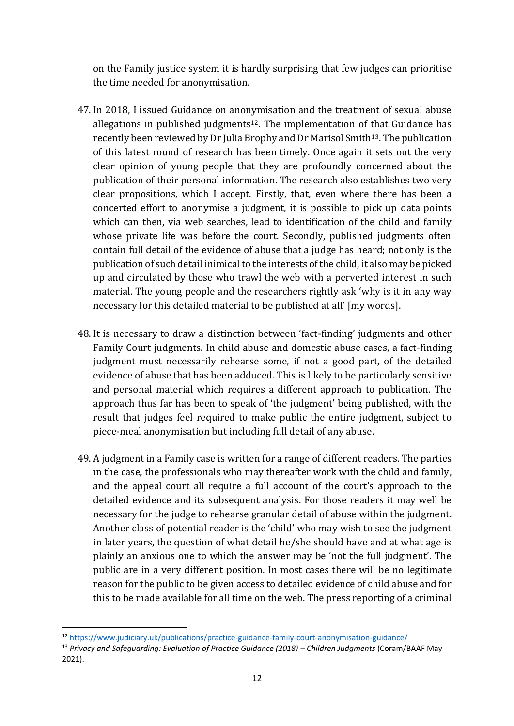on the Family justice system it is hardly surprising that few judges can prioritise the time needed for anonymisation.

- 47. In 2018, I issued Guidance on anonymisation and the treatment of sexual abuse allegations in published judgments<sup>12</sup>. The implementation of that Guidance has recently been reviewed by Dr Julia Brophy and Dr Marisol Smith13. The publication of this latest round of research has been timely. Once again it sets out the very clear opinion of young people that they are profoundly concerned about the publication of their personal information. The research also establishes two very clear propositions, which I accept. Firstly, that, even where there has been a concerted effort to anonymise a judgment, it is possible to pick up data points which can then, via web searches, lead to identification of the child and family whose private life was before the court. Secondly, published judgments often contain full detail of the evidence of abuse that a judge has heard; not only is the publication of such detail inimical to the interests of the child, it also may be picked up and circulated by those who trawl the web with a perverted interest in such material. The young people and the researchers rightly ask 'why is it in any way necessary for this detailed material to be published at all' [my words].
- 48. It is necessary to draw a distinction between 'fact-finding' judgments and other Family Court judgments. In child abuse and domestic abuse cases, a fact-finding judgment must necessarily rehearse some, if not a good part, of the detailed evidence of abuse that has been adduced. This is likely to be particularly sensitive and personal material which requires a different approach to publication. The approach thus far has been to speak of 'the judgment' being published, with the result that judges feel required to make public the entire judgment, subject to piece-meal anonymisation but including full detail of any abuse.
- 49. A judgment in a Family case is written for a range of different readers. The parties in the case, the professionals who may thereafter work with the child and family, and the appeal court all require a full account of the court's approach to the detailed evidence and its subsequent analysis. For those readers it may well be necessary for the judge to rehearse granular detail of abuse within the judgment. Another class of potential reader is the 'child' who may wish to see the judgment in later years, the question of what detail he/she should have and at what age is plainly an anxious one to which the answer may be 'not the full judgment'. The public are in a very different position. In most cases there will be no legitimate reason for the public to be given access to detailed evidence of child abuse and for this to be made available for all time on the web. The press reporting of a criminal

<sup>12</sup> <https://www.judiciary.uk/publications/practice-guidance-family-court-anonymisation-guidance/>

<sup>&</sup>lt;sup>13</sup> Privacy and Safeguarding: Evaluation of Practice Guidance (2018) – Children Judaments (Coram/BAAF May 2021).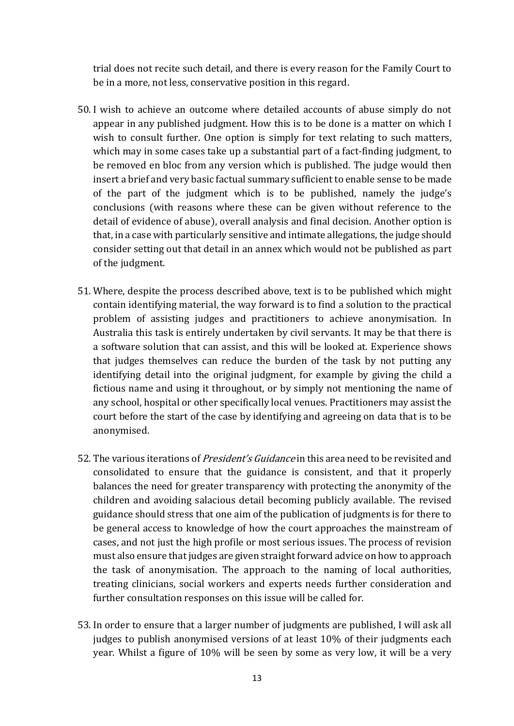trial does not recite such detail, and there is every reason for the Family Court to be in a more, not less, conservative position in this regard.

- 50. I wish to achieve an outcome where detailed accounts of abuse simply do not appear in any published judgment. How this is to be done is a matter on which I wish to consult further. One option is simply for text relating to such matters, which may in some cases take up a substantial part of a fact-finding judgment, to be removed en bloc from any version which is published. The judge would then insert a brief and very basic factual summary sufficient to enable sense to be made of the part of the judgment which is to be published, namely the judge's conclusions (with reasons where these can be given without reference to the detail of evidence of abuse), overall analysis and final decision. Another option is that, in a case with particularly sensitive and intimate allegations, the judge should consider setting out that detail in an annex which would not be published as part of the judgment.
- 51. Where, despite the process described above, text is to be published which might contain identifying material, the way forward is to find a solution to the practical problem of assisting judges and practitioners to achieve anonymisation. In Australia this task is entirely undertaken by civil servants. It may be that there is a software solution that can assist, and this will be looked at. Experience shows that judges themselves can reduce the burden of the task by not putting any identifying detail into the original judgment, for example by giving the child a fictious name and using it throughout, or by simply not mentioning the name of any school, hospital or other specifically local venues. Practitioners may assist the court before the start of the case by identifying and agreeing on data that is to be anonymised.
- 52. The various iterations of *President's Guidance* in this area need to be revisited and consolidated to ensure that the guidance is consistent, and that it properly balances the need for greater transparency with protecting the anonymity of the children and avoiding salacious detail becoming publicly available. The revised guidance should stress that one aim of the publication of judgments is for there to be general access to knowledge of how the court approaches the mainstream of cases, and not just the high profile or most serious issues. The process of revision must also ensure that judges are given straight forward advice on how to approach the task of anonymisation. The approach to the naming of local authorities, treating clinicians, social workers and experts needs further consideration and further consultation responses on this issue will be called for.
- 53. In order to ensure that a larger number of judgments are published, I will ask all judges to publish anonymised versions of at least 10% of their judgments each year. Whilst a figure of 10% will be seen by some as very low, it will be a very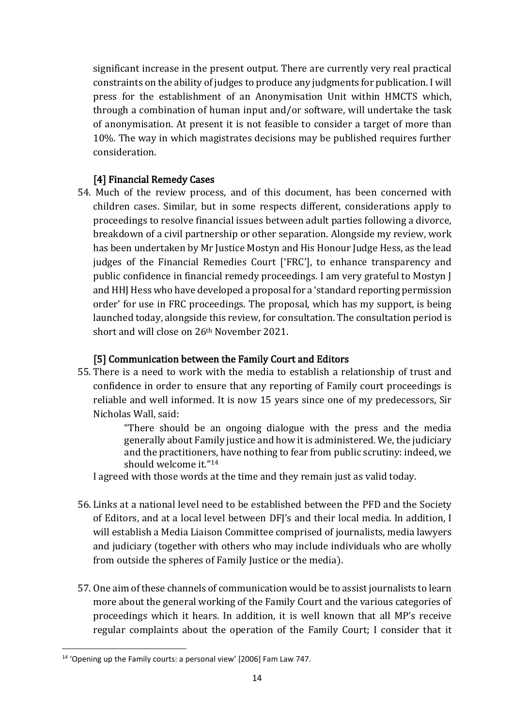significant increase in the present output. There are currently very real practical constraints on the ability of judges to produce any judgments for publication. I will press for the establishment of an Anonymisation Unit within HMCTS which, through a combination of human input and/or software, will undertake the task of anonymisation. At present it is not feasible to consider a target of more than 10%. The way in which magistrates decisions may be published requires further consideration.

## [4] Financial Remedy Cases

54. Much of the review process, and of this document, has been concerned with children cases. Similar, but in some respects different, considerations apply to proceedings to resolve financial issues between adult parties following a divorce, breakdown of a civil partnership or other separation. Alongside my review, work has been undertaken by Mr Justice Mostyn and His Honour Judge Hess, as the lead judges of the Financial Remedies Court ['FRC'], to enhance transparency and public confidence in financial remedy proceedings. I am very grateful to Mostyn J and HHJ Hess who have developed a proposal for a 'standard reporting permission order' for use in FRC proceedings. The proposal, which has my support, is being launched today, alongside this review, for consultation. The consultation period is short and will close on 26th November 2021.

## [5] Communication between the Family Court and Editors

55. There is a need to work with the media to establish a relationship of trust and confidence in order to ensure that any reporting of Family court proceedings is reliable and well informed. It is now 15 years since one of my predecessors, Sir Nicholas Wall, said:

> "There should be an ongoing dialogue with the press and the media generally about Family justice and how it is administered. We, the judiciary and the practitioners, have nothing to fear from public scrutiny: indeed, we should welcome it."<sup>14</sup>

I agreed with those words at the time and they remain just as valid today.

- 56. Links at a national level need to be established between the PFD and the Society of Editors, and at a local level between DFJ's and their local media. In addition, I will establish a Media Liaison Committee comprised of journalists, media lawyers and judiciary (together with others who may include individuals who are wholly from outside the spheres of Family Justice or the media).
- 57. One aim of these channels of communication would be to assist journalists to learn more about the general working of the Family Court and the various categories of proceedings which it hears. In addition, it is well known that all MP's receive regular complaints about the operation of the Family Court; I consider that it

<sup>&</sup>lt;sup>14</sup> 'Opening up the Family courts: a personal view' [2006] Fam Law 747.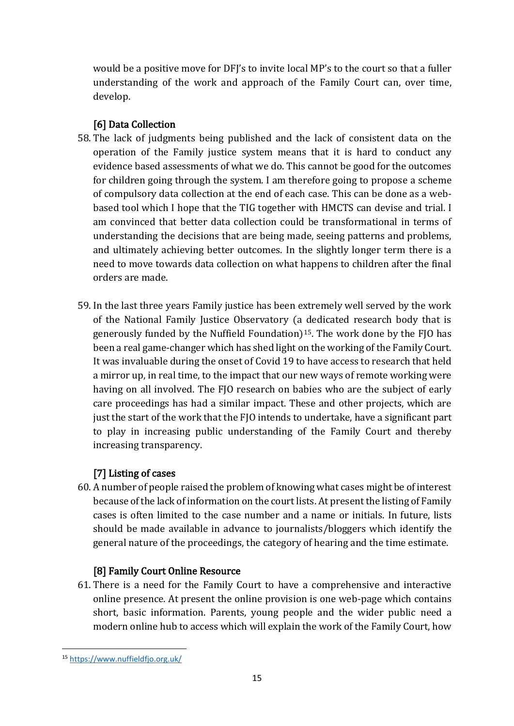would be a positive move for DFJ's to invite local MP's to the court so that a fuller understanding of the work and approach of the Family Court can, over time, develop.

## [6] Data Collection

- 58. The lack of judgments being published and the lack of consistent data on the operation of the Family justice system means that it is hard to conduct any evidence based assessments of what we do. This cannot be good for the outcomes for children going through the system. I am therefore going to propose a scheme of compulsory data collection at the end of each case. This can be done as a webbased tool which I hope that the TIG together with HMCTS can devise and trial. I am convinced that better data collection could be transformational in terms of understanding the decisions that are being made, seeing patterns and problems, and ultimately achieving better outcomes. In the slightly longer term there is a need to move towards data collection on what happens to children after the final orders are made.
- 59. In the last three years Family justice has been extremely well served by the work of the National Family Justice Observatory (a dedicated research body that is generously funded by the Nuffield Foundation)15. The work done by the FJO has been a real game-changer which has shed light on the working of the Family Court. It was invaluable during the onset of Covid 19 to have access to research that held a mirror up, in real time, to the impact that our new ways of remote working were having on all involved. The FJO research on babies who are the subject of early care proceedings has had a similar impact. These and other projects, which are just the start of the work that the FJO intends to undertake, have a significant part to play in increasing public understanding of the Family Court and thereby increasing transparency.

# [7] Listing of cases

60. A number of people raised the problem of knowing what cases might be of interest because of the lack of information on the court lists. At present the listing of Family cases is often limited to the case number and a name or initials. In future, lists should be made available in advance to journalists/bloggers which identify the general nature of the proceedings, the category of hearing and the time estimate.

## [8] Family Court Online Resource

61. There is a need for the Family Court to have a comprehensive and interactive online presence. At present the online provision is one web-page which contains short, basic information. Parents, young people and the wider public need a modern online hub to access which will explain the work of the Family Court, how

<sup>15</sup> <https://www.nuffieldfjo.org.uk/>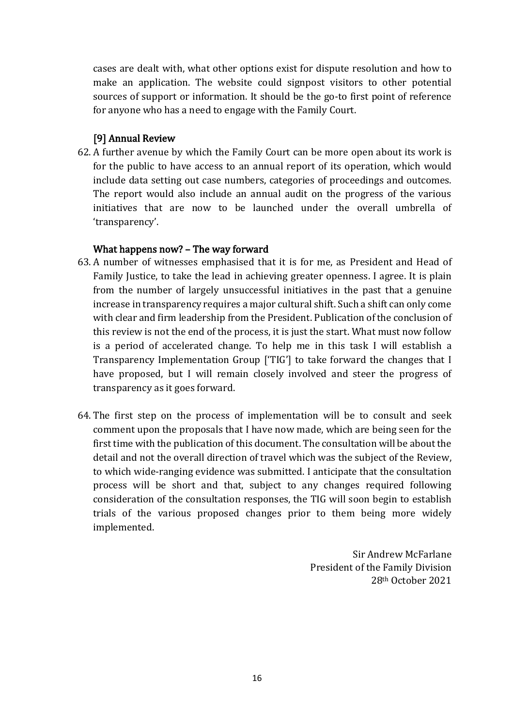cases are dealt with, what other options exist for dispute resolution and how to make an application. The website could signpost visitors to other potential sources of support or information. It should be the go-to first point of reference for anyone who has a need to engage with the Family Court.

## [9] Annual Review

62. A further avenue by which the Family Court can be more open about its work is for the public to have access to an annual report of its operation, which would include data setting out case numbers, categories of proceedings and outcomes. The report would also include an annual audit on the progress of the various initiatives that are now to be launched under the overall umbrella of 'transparency'.

## What happens now? – The way forward

- 63. A number of witnesses emphasised that it is for me, as President and Head of Family Justice, to take the lead in achieving greater openness. I agree. It is plain from the number of largely unsuccessful initiatives in the past that a genuine increase in transparency requires a major cultural shift. Such a shift can only come with clear and firm leadership from the President. Publication of the conclusion of this review is not the end of the process, it is just the start. What must now follow is a period of accelerated change. To help me in this task I will establish a Transparency Implementation Group ['TIG'] to take forward the changes that I have proposed, but I will remain closely involved and steer the progress of transparency as it goes forward.
- 64. The first step on the process of implementation will be to consult and seek comment upon the proposals that I have now made, which are being seen for the first time with the publication of this document. The consultation will be about the detail and not the overall direction of travel which was the subject of the Review, to which wide-ranging evidence was submitted. I anticipate that the consultation process will be short and that, subject to any changes required following consideration of the consultation responses, the TIG will soon begin to establish trials of the various proposed changes prior to them being more widely implemented.

Sir Andrew McFarlane President of the Family Division 28th October 2021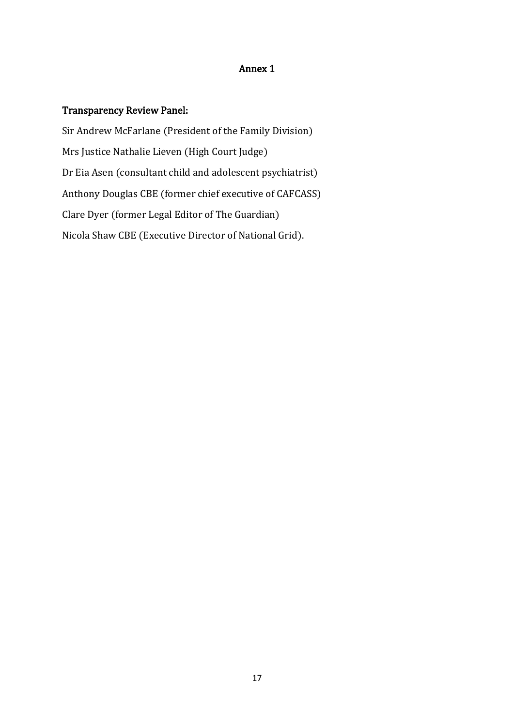#### Annex 1

## Transparency Review Panel:

Sir Andrew McFarlane (President of the Family Division) Mrs Justice Nathalie Lieven (High Court Judge) Dr Eia Asen (consultant child and adolescent psychiatrist) Anthony Douglas CBE (former chief executive of CAFCASS) Clare Dyer (former Legal Editor of The Guardian) Nicola Shaw CBE (Executive Director of National Grid).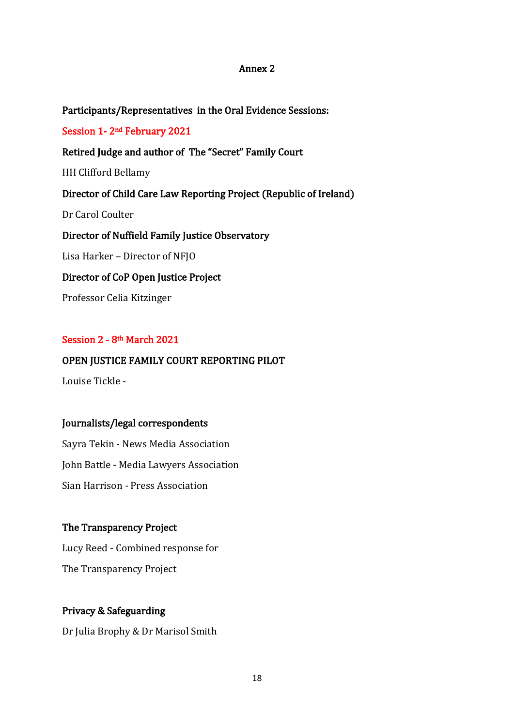#### Annex 2

Participants/Representatives in the Oral Evidence Sessions:

Session 1- 2nd February 2021

#### Retired Judge and author of The "Secret" Family Court

HH Clifford Bellamy

## Director of Child Care Law Reporting Project (Republic of Ireland)

Dr Carol Coulter

## Director of Nuffield Family Justice Observatory

Lisa Harker – Director of NFJO

#### Director of CoP Open Justice Project

Professor Celia Kitzinger

#### Session 2 - 8th March 2021

## OPEN JUSTICE FAMILY COURT REPORTING PILOT

Louise Tickle -

#### Journalists/legal correspondents

Sayra Tekin - News Media Association John Battle - Media Lawyers Association Sian Harrison - Press Association

#### The Transparency Project

Lucy Reed - Combined response for The Transparency Project

## Privacy & Safeguarding

Dr Julia Brophy & Dr Marisol Smith